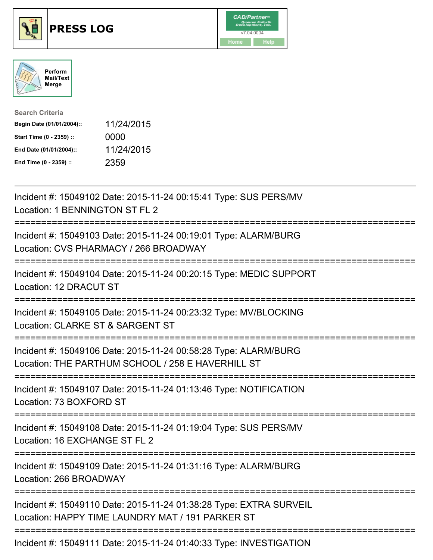





| <b>Search Criteria</b>    |            |
|---------------------------|------------|
| Begin Date (01/01/2004):: | 11/24/2015 |
| Start Time (0 - 2359) ::  | 0000       |
| End Date (01/01/2004)::   | 11/24/2015 |
| End Time (0 - 2359) ::    | 2359       |

| Incident #: 15049102 Date: 2015-11-24 00:15:41 Type: SUS PERS/MV<br>Location: 1 BENNINGTON ST FL 2                                 |
|------------------------------------------------------------------------------------------------------------------------------------|
| Incident #: 15049103 Date: 2015-11-24 00:19:01 Type: ALARM/BURG<br>Location: CVS PHARMACY / 266 BROADWAY                           |
| Incident #: 15049104 Date: 2015-11-24 00:20:15 Type: MEDIC SUPPORT<br>Location: 12 DRACUT ST                                       |
| Incident #: 15049105 Date: 2015-11-24 00:23:32 Type: MV/BLOCKING<br>Location: CLARKE ST & SARGENT ST                               |
| Incident #: 15049106 Date: 2015-11-24 00:58:28 Type: ALARM/BURG<br>Location: THE PARTHUM SCHOOL / 258 E HAVERHILL ST               |
| Incident #: 15049107 Date: 2015-11-24 01:13:46 Type: NOTIFICATION<br>Location: 73 BOXFORD ST<br>-------------------                |
| Incident #: 15049108 Date: 2015-11-24 01:19:04 Type: SUS PERS/MV<br>Location: 16 EXCHANGE ST FL 2                                  |
| Incident #: 15049109 Date: 2015-11-24 01:31:16 Type: ALARM/BURG<br>Location: 266 BROADWAY<br>------------------------------------- |
| Incident #: 15049110 Date: 2015-11-24 01:38:28 Type: EXTRA SURVEIL<br>Location: HAPPY TIME LAUNDRY MAT / 191 PARKER ST             |
| Incident #: 15049111 Date: 2015-11-24 01:40:33 Type: INVESTIGATION                                                                 |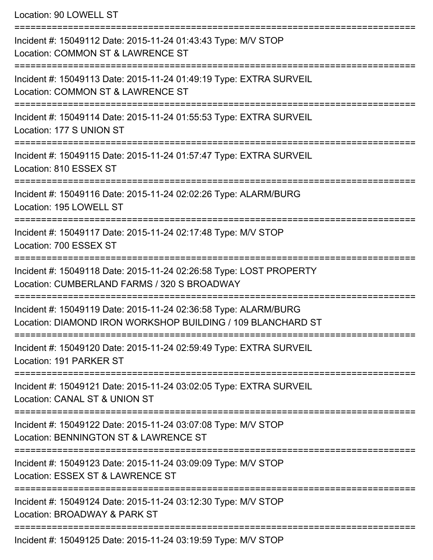Location: 90 LOWELL ST

| Incident #: 15049112 Date: 2015-11-24 01:43:43 Type: M/V STOP<br>Location: COMMON ST & LAWRENCE ST                             |
|--------------------------------------------------------------------------------------------------------------------------------|
| Incident #: 15049113 Date: 2015-11-24 01:49:19 Type: EXTRA SURVEIL<br>Location: COMMON ST & LAWRENCE ST                        |
| Incident #: 15049114 Date: 2015-11-24 01:55:53 Type: EXTRA SURVEIL<br>Location: 177 S UNION ST                                 |
| Incident #: 15049115 Date: 2015-11-24 01:57:47 Type: EXTRA SURVEIL<br>Location: 810 ESSEX ST                                   |
| Incident #: 15049116 Date: 2015-11-24 02:02:26 Type: ALARM/BURG<br>Location: 195 LOWELL ST                                     |
| Incident #: 15049117 Date: 2015-11-24 02:17:48 Type: M/V STOP<br>Location: 700 ESSEX ST                                        |
| Incident #: 15049118 Date: 2015-11-24 02:26:58 Type: LOST PROPERTY<br>Location: CUMBERLAND FARMS / 320 S BROADWAY              |
| Incident #: 15049119 Date: 2015-11-24 02:36:58 Type: ALARM/BURG<br>Location: DIAMOND IRON WORKSHOP BUILDING / 109 BLANCHARD ST |
| Incident #: 15049120 Date: 2015-11-24 02:59:49 Type: EXTRA SURVEIL<br>Location: 191 PARKER ST                                  |
| Incident #: 15049121 Date: 2015-11-24 03:02:05 Type: EXTRA SURVEIL<br>Location: CANAL ST & UNION ST                            |
| :============<br>Incident #: 15049122 Date: 2015-11-24 03:07:08 Type: M/V STOP<br>Location: BENNINGTON ST & LAWRENCE ST        |
| Incident #: 15049123 Date: 2015-11-24 03:09:09 Type: M/V STOP<br>Location: ESSEX ST & LAWRENCE ST                              |
| Incident #: 15049124 Date: 2015-11-24 03:12:30 Type: M/V STOP<br>Location: BROADWAY & PARK ST                                  |
| Incident #: 15049125 Date: 2015-11-24 03:19:59 Type: M/V STOP                                                                  |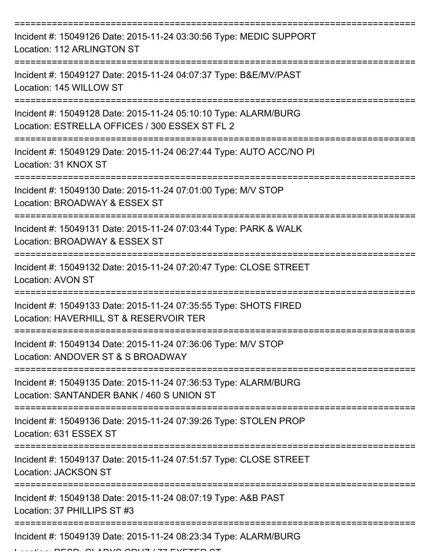| Incident #: 15049126 Date: 2015-11-24 03:30:56 Type: MEDIC SUPPORT<br>Location: 112 ARLINGTON ST                  |
|-------------------------------------------------------------------------------------------------------------------|
| Incident #: 15049127 Date: 2015-11-24 04:07:37 Type: B&E/MV/PAST<br>Location: 145 WILLOW ST                       |
| Incident #: 15049128 Date: 2015-11-24 05:10:10 Type: ALARM/BURG<br>Location: ESTRELLA OFFICES / 300 ESSEX ST FL 2 |
| Incident #: 15049129 Date: 2015-11-24 06:27:44 Type: AUTO ACC/NO PI<br>Location: 31 KNOX ST                       |
| Incident #: 15049130 Date: 2015-11-24 07:01:00 Type: M/V STOP<br>Location: BROADWAY & ESSEX ST                    |
| Incident #: 15049131 Date: 2015-11-24 07:03:44 Type: PARK & WALK<br>Location: BROADWAY & ESSEX ST                 |
| Incident #: 15049132 Date: 2015-11-24 07:20:47 Type: CLOSE STREET<br><b>Location: AVON ST</b>                     |
| Incident #: 15049133 Date: 2015-11-24 07:35:55 Type: SHOTS FIRED<br>Location: HAVERHILL ST & RESERVOIR TER        |
| Incident #: 15049134 Date: 2015-11-24 07:36:06 Type: M/V STOP<br>Location: ANDOVER ST & S BROADWAY                |
| Incident #: 15049135 Date: 2015-11-24 07:36:53 Type: ALARM/BURG<br>Location: SANTANDER BANK / 460 S UNION ST      |
| Incident #: 15049136 Date: 2015-11-24 07:39:26 Type: STOLEN PROP<br>Location: 631 ESSEX ST                        |
| Incident #: 15049137 Date: 2015-11-24 07:51:57 Type: CLOSE STREET<br><b>Location: JACKSON ST</b>                  |
| Incident #: 15049138 Date: 2015-11-24 08:07:19 Type: A&B PAST<br>Location: 37 PHILLIPS ST #3                      |
| Incident #: 15049139 Date: 2015-11-24 08:23:34 Type: ALARM/BURG                                                   |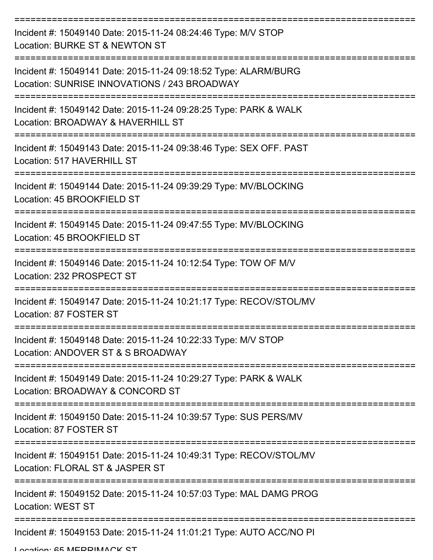| Incident #: 15049140 Date: 2015-11-24 08:24:46 Type: M/V STOP<br>Location: BURKE ST & NEWTON ST                 |
|-----------------------------------------------------------------------------------------------------------------|
| Incident #: 15049141 Date: 2015-11-24 09:18:52 Type: ALARM/BURG<br>Location: SUNRISE INNOVATIONS / 243 BROADWAY |
| Incident #: 15049142 Date: 2015-11-24 09:28:25 Type: PARK & WALK<br>Location: BROADWAY & HAVERHILL ST           |
| Incident #: 15049143 Date: 2015-11-24 09:38:46 Type: SEX OFF. PAST<br>Location: 517 HAVERHILL ST                |
| Incident #: 15049144 Date: 2015-11-24 09:39:29 Type: MV/BLOCKING<br>Location: 45 BROOKFIELD ST                  |
| Incident #: 15049145 Date: 2015-11-24 09:47:55 Type: MV/BLOCKING<br>Location: 45 BROOKFIELD ST                  |
| Incident #: 15049146 Date: 2015-11-24 10:12:54 Type: TOW OF M/V<br>Location: 232 PROSPECT ST                    |
| Incident #: 15049147 Date: 2015-11-24 10:21:17 Type: RECOV/STOL/MV<br>Location: 87 FOSTER ST                    |
| Incident #: 15049148 Date: 2015-11-24 10:22:33 Type: M/V STOP<br>Location: ANDOVER ST & S BROADWAY              |
| Incident #: 15049149 Date: 2015-11-24 10:29:27 Type: PARK & WALK<br>Location: BROADWAY & CONCORD ST             |
| Incident #: 15049150 Date: 2015-11-24 10:39:57 Type: SUS PERS/MV<br>Location: 87 FOSTER ST                      |
| Incident #: 15049151 Date: 2015-11-24 10:49:31 Type: RECOV/STOL/MV<br>Location: FLORAL ST & JASPER ST           |
| Incident #: 15049152 Date: 2015-11-24 10:57:03 Type: MAL DAMG PROG<br><b>Location: WEST ST</b>                  |
| Incident #: 15049153 Date: 2015-11-24 11:01:21 Type: AUTO ACC/NO PI                                             |

Location: 65 MEDDIMACK ST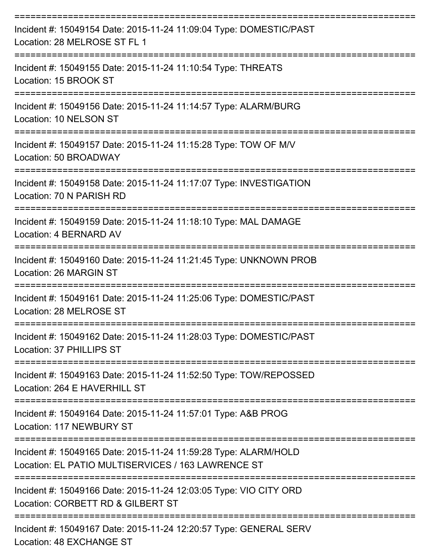| Incident #: 15049154 Date: 2015-11-24 11:09:04 Type: DOMESTIC/PAST<br>Location: 28 MELROSE ST FL 1                    |
|-----------------------------------------------------------------------------------------------------------------------|
| Incident #: 15049155 Date: 2015-11-24 11:10:54 Type: THREATS<br>Location: 15 BROOK ST                                 |
| Incident #: 15049156 Date: 2015-11-24 11:14:57 Type: ALARM/BURG<br>Location: 10 NELSON ST                             |
| Incident #: 15049157 Date: 2015-11-24 11:15:28 Type: TOW OF M/V<br>Location: 50 BROADWAY                              |
| Incident #: 15049158 Date: 2015-11-24 11:17:07 Type: INVESTIGATION<br>Location: 70 N PARISH RD                        |
| Incident #: 15049159 Date: 2015-11-24 11:18:10 Type: MAL DAMAGE<br>Location: 4 BERNARD AV                             |
| Incident #: 15049160 Date: 2015-11-24 11:21:45 Type: UNKNOWN PROB<br>Location: 26 MARGIN ST                           |
| Incident #: 15049161 Date: 2015-11-24 11:25:06 Type: DOMESTIC/PAST<br>Location: 28 MELROSE ST                         |
| Incident #: 15049162 Date: 2015-11-24 11:28:03 Type: DOMESTIC/PAST<br>Location: 37 PHILLIPS ST                        |
| Incident #: 15049163 Date: 2015-11-24 11:52:50 Type: TOW/REPOSSED<br>Location: 264 E HAVERHILL ST                     |
| Incident #: 15049164 Date: 2015-11-24 11:57:01 Type: A&B PROG<br>Location: 117 NEWBURY ST                             |
| Incident #: 15049165 Date: 2015-11-24 11:59:28 Type: ALARM/HOLD<br>Location: EL PATIO MULTISERVICES / 163 LAWRENCE ST |
| Incident #: 15049166 Date: 2015-11-24 12:03:05 Type: VIO CITY ORD<br>Location: CORBETT RD & GILBERT ST                |
| Incident #: 15049167 Date: 2015-11-24 12:20:57 Type: GENERAL SERV                                                     |

Location: 48 EXCHANGE ST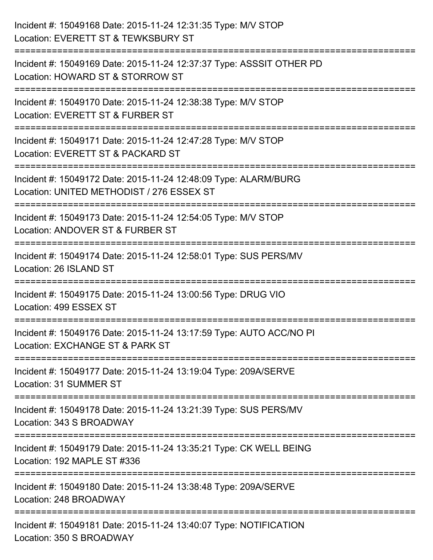| Incident #: 15049168 Date: 2015-11-24 12:31:35 Type: M/V STOP<br>Location: EVERETT ST & TEWKSBURY ST         |
|--------------------------------------------------------------------------------------------------------------|
| Incident #: 15049169 Date: 2015-11-24 12:37:37 Type: ASSSIT OTHER PD<br>Location: HOWARD ST & STORROW ST     |
| Incident #: 15049170 Date: 2015-11-24 12:38:38 Type: M/V STOP<br>Location: EVERETT ST & FURBER ST            |
| Incident #: 15049171 Date: 2015-11-24 12:47:28 Type: M/V STOP<br>Location: EVERETT ST & PACKARD ST           |
| Incident #: 15049172 Date: 2015-11-24 12:48:09 Type: ALARM/BURG<br>Location: UNITED METHODIST / 276 ESSEX ST |
| Incident #: 15049173 Date: 2015-11-24 12:54:05 Type: M/V STOP<br>Location: ANDOVER ST & FURBER ST            |
| Incident #: 15049174 Date: 2015-11-24 12:58:01 Type: SUS PERS/MV<br>Location: 26 ISLAND ST                   |
| Incident #: 15049175 Date: 2015-11-24 13:00:56 Type: DRUG VIO<br>Location: 499 ESSEX ST                      |
| Incident #: 15049176 Date: 2015-11-24 13:17:59 Type: AUTO ACC/NO PI<br>Location: EXCHANGE ST & PARK ST       |
| Incident #: 15049177 Date: 2015-11-24 13:19:04 Type: 209A/SERVE<br>Location: 31 SUMMER ST                    |
| Incident #: 15049178 Date: 2015-11-24 13:21:39 Type: SUS PERS/MV<br>Location: 343 S BROADWAY                 |
| Incident #: 15049179 Date: 2015-11-24 13:35:21 Type: CK WELL BEING<br>Location: 192 MAPLE ST #336            |
| Incident #: 15049180 Date: 2015-11-24 13:38:48 Type: 209A/SERVE<br>Location: 248 BROADWAY                    |
| Incident #: 15049181 Date: 2015-11-24 13:40:07 Type: NOTIFICATION<br>Location: 350 S BROADWAY                |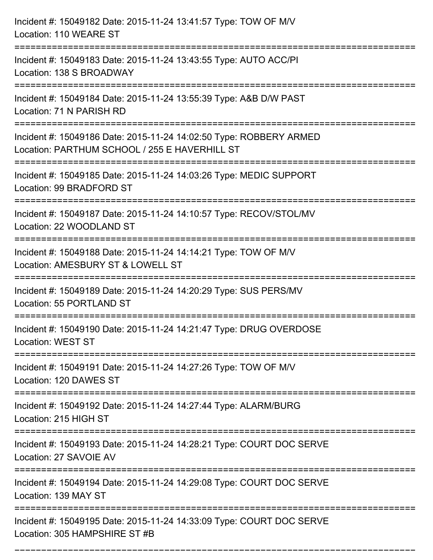| Incident #: 15049182 Date: 2015-11-24 13:41:57 Type: TOW OF M/V<br>Location: 110 WEARE ST                                              |
|----------------------------------------------------------------------------------------------------------------------------------------|
| Incident #: 15049183 Date: 2015-11-24 13:43:55 Type: AUTO ACC/PI<br>Location: 138 S BROADWAY                                           |
| Incident #: 15049184 Date: 2015-11-24 13:55:39 Type: A&B D/W PAST<br>Location: 71 N PARISH RD<br>===================================== |
| Incident #: 15049186 Date: 2015-11-24 14:02:50 Type: ROBBERY ARMED<br>Location: PARTHUM SCHOOL / 255 E HAVERHILL ST                    |
| Incident #: 15049185 Date: 2015-11-24 14:03:26 Type: MEDIC SUPPORT<br>Location: 99 BRADFORD ST<br>:=================================   |
| Incident #: 15049187 Date: 2015-11-24 14:10:57 Type: RECOV/STOL/MV<br>Location: 22 WOODLAND ST                                         |
| Incident #: 15049188 Date: 2015-11-24 14:14:21 Type: TOW OF M/V<br>Location: AMESBURY ST & LOWELL ST                                   |
| Incident #: 15049189 Date: 2015-11-24 14:20:29 Type: SUS PERS/MV<br>Location: 55 PORTLAND ST                                           |
| Incident #: 15049190 Date: 2015-11-24 14:21:47 Type: DRUG OVERDOSE<br><b>Location: WEST ST</b>                                         |
| Incident #: 15049191 Date: 2015-11-24 14:27:26 Type: TOW OF M/V<br>Location: 120 DAWES ST                                              |
| Incident #: 15049192 Date: 2015-11-24 14:27:44 Type: ALARM/BURG<br>Location: 215 HIGH ST                                               |
| Incident #: 15049193 Date: 2015-11-24 14:28:21 Type: COURT DOC SERVE<br>Location: 27 SAVOIE AV                                         |
| Incident #: 15049194 Date: 2015-11-24 14:29:08 Type: COURT DOC SERVE<br>Location: 139 MAY ST                                           |
| Incident #: 15049195 Date: 2015-11-24 14:33:09 Type: COURT DOC SERVE<br>Location: 305 HAMPSHIRE ST #B                                  |

===========================================================================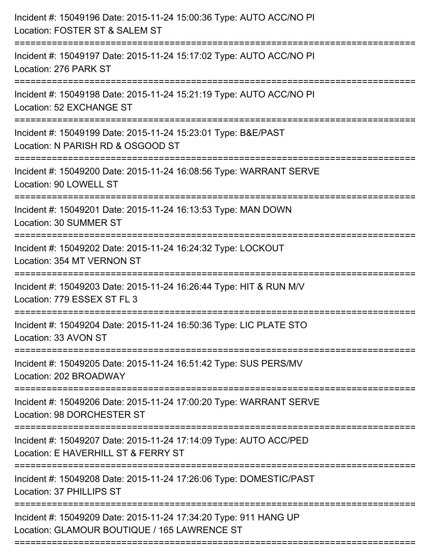| Incident #: 15049196 Date: 2015-11-24 15:00:36 Type: AUTO ACC/NO PI<br>Location: FOSTER ST & SALEM ST<br>------------------------ |
|-----------------------------------------------------------------------------------------------------------------------------------|
| Incident #: 15049197 Date: 2015-11-24 15:17:02 Type: AUTO ACC/NO PI<br>Location: 276 PARK ST                                      |
| Incident #: 15049198 Date: 2015-11-24 15:21:19 Type: AUTO ACC/NO PI<br>Location: 52 EXCHANGE ST<br>:========================      |
| Incident #: 15049199 Date: 2015-11-24 15:23:01 Type: B&E/PAST<br>Location: N PARISH RD & OSGOOD ST                                |
| Incident #: 15049200 Date: 2015-11-24 16:08:56 Type: WARRANT SERVE<br>Location: 90 LOWELL ST                                      |
| Incident #: 15049201 Date: 2015-11-24 16:13:53 Type: MAN DOWN<br>Location: 30 SUMMER ST                                           |
| Incident #: 15049202 Date: 2015-11-24 16:24:32 Type: LOCKOUT<br>Location: 354 MT VERNON ST                                        |
| Incident #: 15049203 Date: 2015-11-24 16:26:44 Type: HIT & RUN M/V<br>Location: 779 ESSEX ST FL 3                                 |
| Incident #: 15049204 Date: 2015-11-24 16:50:36 Type: LIC PLATE STO<br>Location: 33 AVON ST                                        |
| Incident #: 15049205 Date: 2015-11-24 16:51:42 Type: SUS PERS/MV<br>Location: 202 BROADWAY                                        |
| ========================<br>Incident #: 15049206 Date: 2015-11-24 17:00:20 Type: WARRANT SERVE<br>Location: 98 DORCHESTER ST      |
| Incident #: 15049207 Date: 2015-11-24 17:14:09 Type: AUTO ACC/PED<br>Location: E HAVERHILL ST & FERRY ST                          |
| Incident #: 15049208 Date: 2015-11-24 17:26:06 Type: DOMESTIC/PAST<br>Location: 37 PHILLIPS ST                                    |
| Incident #: 15049209 Date: 2015-11-24 17:34:20 Type: 911 HANG UP<br>Location: GLAMOUR BOUTIQUE / 165 LAWRENCE ST                  |
|                                                                                                                                   |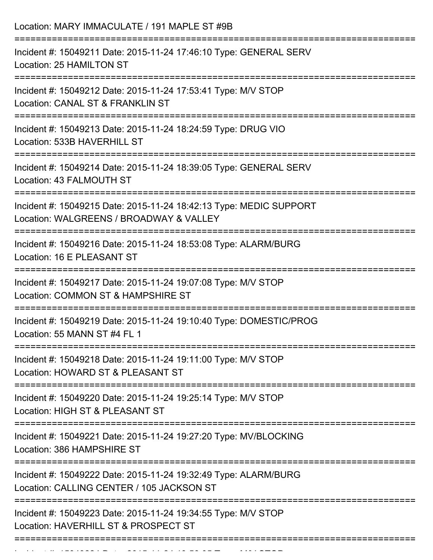Location: MARY IMMACULATE / 191 MAPLE ST #9B =========================================================================== Incident #: 15049211 Date: 2015-11-24 17:46:10 Type: GENERAL SERV Location: 25 HAMILTON ST =========================================================================== Incident #: 15049212 Date: 2015-11-24 17:53:41 Type: M/V STOP Location: CANAL ST & FRANKLIN ST =========================================================================== Incident #: 15049213 Date: 2015-11-24 18:24:59 Type: DRUG VIO Location: 533B HAVERHILL ST =========================================================================== Incident #: 15049214 Date: 2015-11-24 18:39:05 Type: GENERAL SERV Location: 43 FALMOUTH ST =========================================================================== Incident #: 15049215 Date: 2015-11-24 18:42:13 Type: MEDIC SUPPORT Location: WALGREENS / BROADWAY & VALLEY =========================================================================== Incident #: 15049216 Date: 2015-11-24 18:53:08 Type: ALARM/BURG Location: 16 E PLEASANT ST =========================================================================== Incident #: 15049217 Date: 2015-11-24 19:07:08 Type: M/V STOP Location: COMMON ST & HAMPSHIRE ST =========================================================================== Incident #: 15049219 Date: 2015-11-24 19:10:40 Type: DOMESTIC/PROG Location: 55 MANN ST #4 FL 1 =========================================================================== Incident #: 15049218 Date: 2015-11-24 19:11:00 Type: M/V STOP Location: HOWARD ST & PLEASANT ST =========================================================================== Incident #: 15049220 Date: 2015-11-24 19:25:14 Type: M/V STOP Location: HIGH ST & PLEASANT ST =========================================================================== Incident #: 15049221 Date: 2015-11-24 19:27:20 Type: MV/BLOCKING Location: 386 HAMPSHIRE ST =========================================================================== Incident #: 15049222 Date: 2015-11-24 19:32:49 Type: ALARM/BURG Location: CALLING CENTER / 105 JACKSON ST =========================================================================== Incident #: 15049223 Date: 2015-11-24 19:34:55 Type: M/V STOP Location: HAVERHILL ST & PROSPECT ST ===========================================================================

Incident #: 1504924 Date: 2015 11 24 19:56:05 Type: 2014 Date: 2015 124 1256<br>.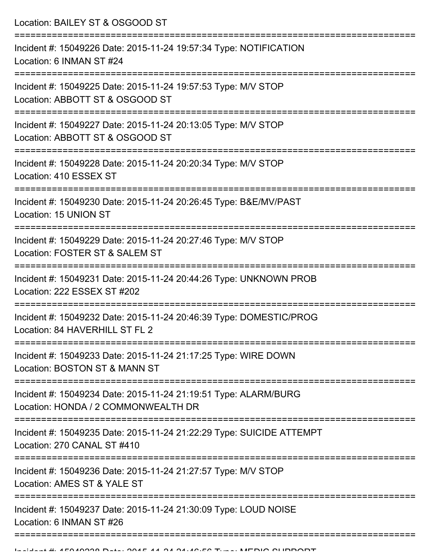Location: BAILEY ST & OSGOOD ST =========================================================================== Incident #: 15049226 Date: 2015-11-24 19:57:34 Type: NOTIFICATION Location: 6 INMAN ST #24 =========================================================================== Incident #: 15049225 Date: 2015-11-24 19:57:53 Type: M/V STOP Location: ABBOTT ST & OSGOOD ST =========================================================================== Incident #: 15049227 Date: 2015-11-24 20:13:05 Type: M/V STOP Location: ABBOTT ST & OSGOOD ST =========================================================================== Incident #: 15049228 Date: 2015-11-24 20:20:34 Type: M/V STOP Location: 410 ESSEX ST =========================================================================== Incident #: 15049230 Date: 2015-11-24 20:26:45 Type: B&E/MV/PAST Location: 15 UNION ST =========================================================================== Incident #: 15049229 Date: 2015-11-24 20:27:46 Type: M/V STOP Location: FOSTER ST & SALEM ST =========================================================================== Incident #: 15049231 Date: 2015-11-24 20:44:26 Type: UNKNOWN PROB Location: 222 ESSEX ST #202 =========================================================================== Incident #: 15049232 Date: 2015-11-24 20:46:39 Type: DOMESTIC/PROG Location: 84 HAVERHILL ST FL 2 =========================================================================== Incident #: 15049233 Date: 2015-11-24 21:17:25 Type: WIRE DOWN Location: BOSTON ST & MANN ST =========================================================================== Incident #: 15049234 Date: 2015-11-24 21:19:51 Type: ALARM/BURG Location: HONDA / 2 COMMONWEALTH DR =========================================================================== Incident #: 15049235 Date: 2015-11-24 21:22:29 Type: SUICIDE ATTEMPT Location: 270 CANAL ST #410 =========================================================================== Incident #: 15049236 Date: 2015-11-24 21:27:57 Type: M/V STOP Location: AMES ST & YALE ST =========================================================================== Incident #: 15049237 Date: 2015-11-24 21:30:09 Type: LOUD NOISE Location: 6 INMAN ST #26 =============================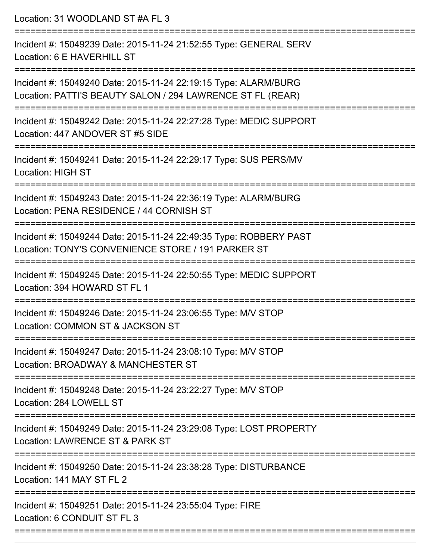| Location: 31 WOODLAND ST #A FL 3                                                                                                                                                    |
|-------------------------------------------------------------------------------------------------------------------------------------------------------------------------------------|
| Incident #: 15049239 Date: 2015-11-24 21:52:55 Type: GENERAL SERV<br>Location: 6 E HAVERHILL ST                                                                                     |
| Incident #: 15049240 Date: 2015-11-24 22:19:15 Type: ALARM/BURG<br>Location: PATTI'S BEAUTY SALON / 294 LAWRENCE ST FL (REAR)<br>======================<br>======================== |
| Incident #: 15049242 Date: 2015-11-24 22:27:28 Type: MEDIC SUPPORT<br>Location: 447 ANDOVER ST #5 SIDE                                                                              |
| Incident #: 15049241 Date: 2015-11-24 22:29:17 Type: SUS PERS/MV<br><b>Location: HIGH ST</b>                                                                                        |
| Incident #: 15049243 Date: 2015-11-24 22:36:19 Type: ALARM/BURG<br>Location: PENA RESIDENCE / 44 CORNISH ST                                                                         |
| Incident #: 15049244 Date: 2015-11-24 22:49:35 Type: ROBBERY PAST<br>Location: TONY'S CONVENIENCE STORE / 191 PARKER ST                                                             |
| Incident #: 15049245 Date: 2015-11-24 22:50:55 Type: MEDIC SUPPORT<br>Location: 394 HOWARD ST FL 1                                                                                  |
| Incident #: 15049246 Date: 2015-11-24 23:06:55 Type: M/V STOP<br>Location: COMMON ST & JACKSON ST                                                                                   |
| Incident #: 15049247 Date: 2015-11-24 23:08:10 Type: M/V STOP<br>Location: BROADWAY & MANCHESTER ST                                                                                 |
| Incident #: 15049248 Date: 2015-11-24 23:22:27 Type: M/V STOP<br>Location: 284 LOWELL ST                                                                                            |
| Incident #: 15049249 Date: 2015-11-24 23:29:08 Type: LOST PROPERTY<br>Location: LAWRENCE ST & PARK ST                                                                               |
| Incident #: 15049250 Date: 2015-11-24 23:38:28 Type: DISTURBANCE<br>Location: 141 MAY ST FL 2                                                                                       |
| Incident #: 15049251 Date: 2015-11-24 23:55:04 Type: FIRE<br>Location: 6 CONDUIT ST FL 3                                                                                            |
|                                                                                                                                                                                     |